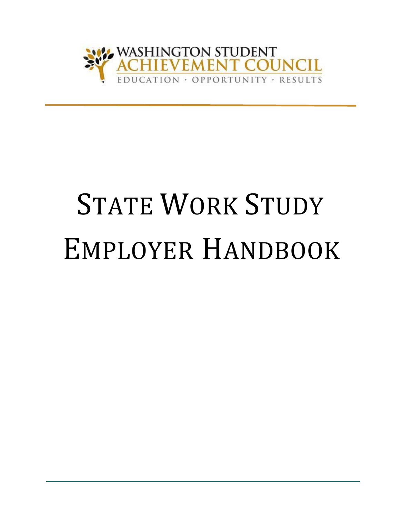

# **STATE WORK STUDY** EMPLOYER HANDBOOK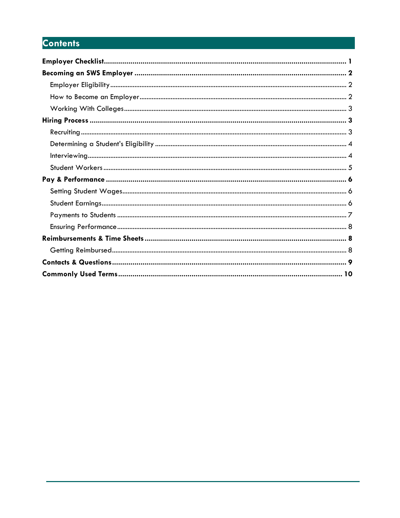## **Contents**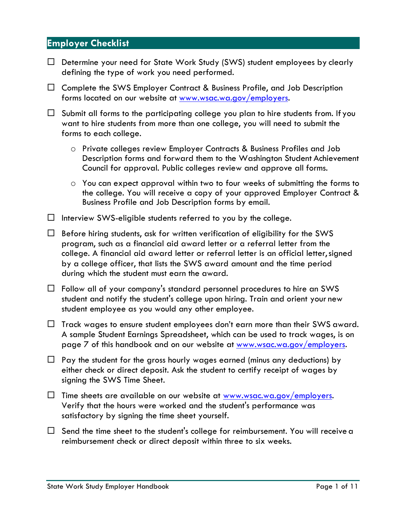## <span id="page-2-0"></span>**Employer Checklist**

- $\Box$  Determine your need for State Work Study (SWS) student employees by clearly defining the type of work you need performed.
- $\Box$  Complete the SWS Employer Contract & Business Profile, and Job Description forms located on our website at [www.wsac.wa.gov/employers.](http://www.wsac.wa.gov/employers)
- $\Box$  Submit all forms to the participating college you plan to hire students from. If you want to hire students from more than one college, you will need to submit the forms to each college.
	- o Private colleges review Employer Contracts & Business Profiles and Job Description forms and forward them to the Washington Student Achievement Council for approval. Public colleges review and approve all forms.
	- o You can expect approval within two to four weeks of submitting the forms to the college. You will receive a copy of your approved Employer Contract & Business Profile and Job Description forms by email.
- $\Box$  Interview SWS-eligible students referred to you by the college.

 $\Box$  Before hiring students, ask for written verification of eligibility for the SWS program, such as a financial aid award letter or a referral letter from the college. A financial aid award letter or referral letter is an official letter,signed by a college officer, that lists the SWS award amount and the time period during which the student must earn the award.

- $\Box$  Follow all of your company's standard personnel procedures to hire an SWS student and notify the student's college upon hiring. Train and orient your new student employee as you would any other employee.
- $\Box$  Track wages to ensure student employees don't earn more than their SWS award. A sample Student Earnings Spreadsheet, which can be used to track wages, is on page 7 of this handbook and on our website at [www.wsac.wa.gov/employers.](http://www.wsac.wa.gov/employers)
- $\Box$  Pay the student for the gross hourly wages earned (minus any deductions) by either check or direct deposit. Ask the student to certify receipt of wages by signing the SWS Time Sheet.
- $\Box$  Time sheets are available on our website at [www.wsac.wa.gov/employers.](http://www.wsac.wa.gov/employers) Verify that the hours were worked and the student's performance was satisfactory by signing the time sheet yourself.
- $\Box$  Send the time sheet to the student's college for reimbursement. You will receive a reimbursement check or direct deposit within three to six weeks.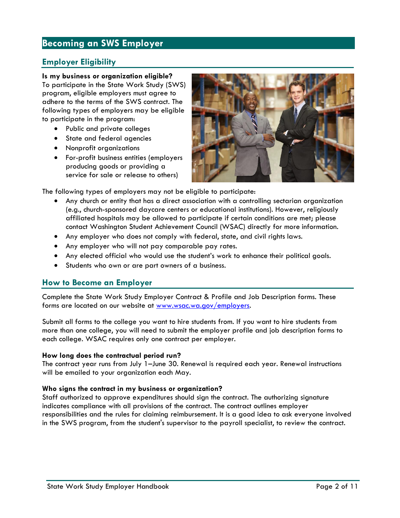## <span id="page-3-0"></span>**Becoming an SWS Employer**

## <span id="page-3-1"></span>**Employer Eligibility**

#### **Is my business or organization eligible?**

To participate in the State Work Study (SWS) program, eligible employers must agree to adhere to the terms of the SWS contract. The following types of employers may be eligible to participate in the program:

- Public and private colleges
- State and federal agencies
- Nonprofit organizations
- For-profit business entities (employers producing goods or providing a service for sale or release to others)



The following types of employers may not be eligible to participate:

- Any church or entity that has a direct association with a controlling sectarian organization (e.g., church-sponsored daycare centers or educational institutions). However, religiously affiliated hospitals may be allowed to participate if certain conditions are met; please contact Washington Student Achievement Council (WSAC) directly for more information.
- Any employer who does not comply with federal, state, and civil rights laws.
- Any employer who will not pay comparable pay rates.
- Any elected official who would use the student's work to enhance their political goals.
- Students who own or are part owners of a business.

#### <span id="page-3-2"></span>**How to Become an Employer**

Complete the State Work Study Employer Contract & Profile and Job Description forms. These forms are located on our website at [www.wsac.wa.gov/employers.](file:///C:/Users/katiey/AppData/Local/Microsoft/Windows/INetCache/Content.Outlook/9RY25F1K/www.wsac.wa.gov/employers)

Submit all forms to the college you want to hire students from. If you want to hire students from more than one college, you will need to submit the employer profile and job description forms to each college. WSAC requires only one contract per employer.

#### **How long does the contractual period run?**

The contract year runs from July 1–June 30. Renewal is required each year. Renewal instructions will be emailed to your organization each May.

#### **Who signs the contract in my business or organization?**

Staff authorized to approve expenditures should sign the contract. The authorizing signature indicates compliance with all provisions of the contract. The contract outlines employer responsibilities and the rules for claiming reimbursement. It is a good idea to ask everyone involved in the SWS program, from the student's supervisor to the payroll specialist, to review the contract.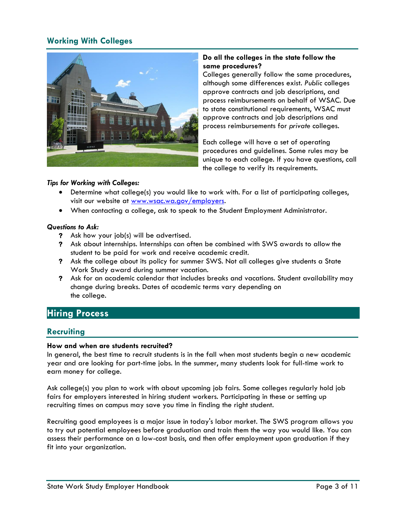## **Working With Colleges**



#### **Do all the colleges in the state follow the same procedures?**

Colleges generally follow the same procedures, although some differences exist. *Public* colleges approve contracts and job descriptions, and process reimbursements on behalf of WSAC. Due to state constitutional requirements, WSAC must approve contracts and job descriptions and process reimbursements for *private* colleges.

Each college will have a set of operating procedures and guidelines. Some rules may be unique to each college. If you have questions, call the college to verify its requirements.

#### *Tips for Working with Colleges:*

- Determine what college(s) you would like to work with. For a list of participating colleges, visit our website at [www.wsac.wa.gov/employers.](file:///C:/Users/katiey/AppData/Local/Microsoft/Windows/INetCache/Content.Outlook/9RY25F1K/www.wsac.wa.gov/employers)
- When contacting a college, ask to speak to the Student Employment Administrator.

#### *Questions to Ask:*

- **?** Ask how your job(s) will be advertised.
- **?** Ask about internships. Internships can often be combined with SWS awards to allow the student to be paid for work and receive academic credit.
- **?** Ask the college about its policy for summer SWS. Not all colleges give students a State Work Study award during summer vacation.
- **?** Ask for an academic calendar that includes breaks and vacations. Student availability may change during breaks. Dates of academic terms vary depending on the college.

## <span id="page-4-0"></span>**Hiring Process**

## <span id="page-4-1"></span>**Recruiting**

#### **How and when are students recruited?**

In general, the best time to recruit students is in the fall when most students begin a new academic year and are looking for part-time jobs. In the summer, many students look for full-time work to earn money for college.

Ask college(s) you plan to work with about upcoming job fairs. Some colleges regularly hold job fairs for employers interested in hiring student workers. Participating in these or setting up recruiting times on campus may save you time in finding the right student.

<span id="page-4-2"></span>Recruiting good employees is a major issue in today's labor market. The SWS program allows you to try out potential employees before graduation and train them the way you would like. You can assess their performance on a low-cost basis, and then offer employment upon graduation if they fit into your organization.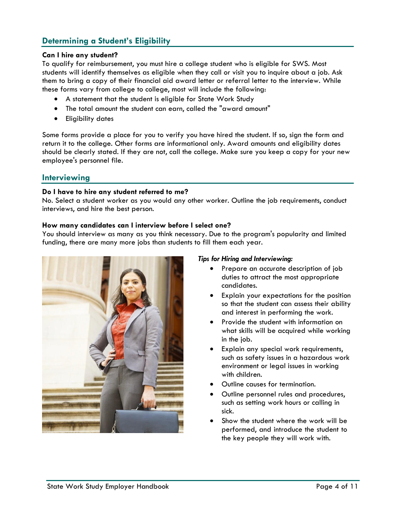## <span id="page-5-1"></span>**Determining a Student's Eligibility**

#### **Can I hire any student?**

To qualify for reimbursement, you must hire a college student who is eligible for SWS. Most students will identify themselves as eligible when they call or visit you to inquire about a job. Ask them to bring a copy of their financial aid award letter or referral letter to the interview. While these forms vary from college to college, most will include the following:

- A statement that the student is eligible for State Work Study
- The total amount the student can earn, called the "award amount"
- **•** Eligibility dates

Some forms provide a place for you to verify you have hired the student. If so, sign the form and return it to the college. Other forms are informational only. Award amounts and eligibility dates should be clearly stated. If they are not, call the college. Make sure you keep a copy for your new employee's personnel file.

#### <span id="page-5-0"></span>**Interviewing**

#### **Do I have to hire any student referred to me?**

No. Select a student worker as you would any other worker. Outline the job requirements, conduct interviews, and hire the best person.

#### **How many candidates can I interview before I select one?**

You should interview as many as you think necessary. Due to the program's popularity and limited funding, there are many more jobs than students to fill them each year.



#### *Tips for Hiring and Interviewing:*

- Prepare an accurate description of job duties to attract the most appropriate candidates.
- Explain your expectations for the position so that the student can assess their ability and interest in performing the work.
- Provide the student with information on what skills will be acquired while working in the job.
- Explain any special work requirements, such as safety issues in a hazardous work environment or legal issues in working with children.
- Outline causes for termination.
- Outline personnel rules and procedures, such as setting work hours or calling in sick.
- Show the student where the work will be performed, and introduce the student to the key people they will work with.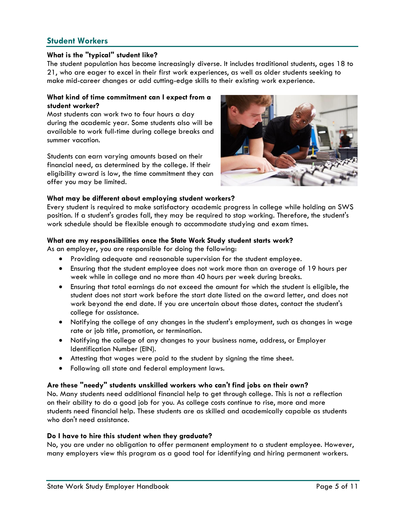## **Student Workers**

#### **What is the "typical" student like?**

The student population has become increasingly diverse. It includes traditional students, ages 18 to 21, who are eager to excel in their first work experiences, as well as older students seeking to make mid-career changes or add cutting-edge skills to their existing work experience.

#### **What kind of time commitment can I expect from a student worker?**

Most students can work two to four hours a day during the academic year. Some students also will be available to work full-time during college breaks and summer vacation.

Students can earn varying amounts based on their financial need, as determined by the college. If their eligibility award is low, the time commitment they can offer you may be limited.



#### **What may be different about employing student workers?**

Every student is required to make satisfactory academic progress in college while holding an SWS position. If a student's grades fall, they may be required to stop working. Therefore, the student's work schedule should be flexible enough to accommodate studying and exam times.

#### **What are my responsibilities once the State Work Study student starts work?**

As an employer, you are responsible for doing the following:

- Providing adequate and reasonable supervision for the student employee.
- Ensuring that the student employee does not work more than an average of 19 hours per week while in college and no more than 40 hours per week during breaks.
- Ensuring that total earnings do not exceed the amount for which the student is eligible, the student does not start work before the start date listed on the award letter, and does not work beyond the end date. If you are uncertain about those dates, contact the student's college for assistance.
- Notifying the college of any changes in the student's employment, such as changes in wage rate or job title, promotion, or termination.
- Notifying the college of any changes to your business name, address, or Employer Identification Number (EIN).
- Attesting that wages were paid to the student by signing the time sheet.
- Following all state and federal employment laws.

#### **Are these "needy" students unskilled workers who can't find jobs on their own?**

No. Many students need additional financial help to get through college. This is not a reflection on their ability to do a good job for you. As college costs continue to rise, more and more students need financial help. These students are as skilled and academically capable as students who don't need assistance.

#### **Do I have to hire this student when they graduate?**

No, you are under no obligation to offer permanent employment to a student employee. However, many employers view this program as a good tool for identifying and hiring permanent workers.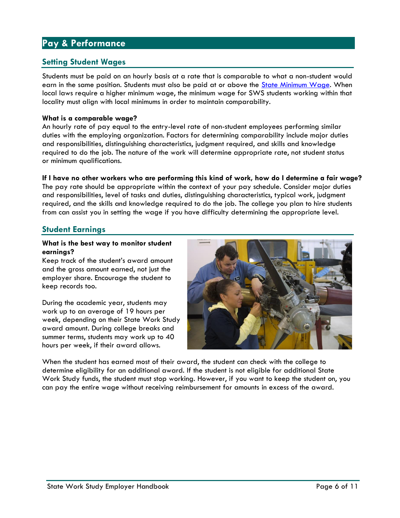## <span id="page-7-0"></span>**Pay & Performance**

## <span id="page-7-1"></span>**Setting Student Wages**

Students must be paid on an hourly basis at a rate that is comparable to what a non-student would earn in the same position. Students must also be paid at or above the [State Minimum Wage. W](http://www.lni.wa.gov/workplacerights/wages/minimum/default.asp)hen local laws require a higher minimum wage, the minimum wage for SWS students working within that locality must align with local minimums in order to maintain comparability.

#### **What is a comparable wage?**

An hourly rate of pay equal to the entry-level rate of non-student employees performing similar duties with the employing organization. Factors for determining comparability include major duties and responsibilities, distinguishing characteristics, judgment required, and skills and knowledge required to do the job. The nature of the work will determine appropriate rate, not student status or minimum qualifications.

#### **If I have no other workers who are performing this kind of work, how do I determine a fair wage?**

The pay rate should be appropriate within the context of your pay schedule. Consider major duties and responsibilities, level of tasks and duties, distinguishing characteristics, typical work, judgment required, and the skills and knowledge required to do the job. The college you plan to hire students from can assist you in setting the wage if you have difficulty determining the appropriate level.

## <span id="page-7-2"></span>**Student Earnings**

#### **What is the best way to monitor student earnings?**

Keep track of the student's award amount and the gross amount earned, not just the employer share. Encourage the student to keep records too.

During the academic year, students may work up to an average of 19 hours per week, depending on their State Work Study award amount. During college breaks and summer terms, students may work up to 40 hours per week, if their award allows.



When the student has earned most of their award, the student can check with the college to determine eligibility for an additional award. If the student is not eligible for additional State Work Study funds, the student must stop working. However, if you want to keep the student on, you can pay the entire wage without receiving reimbursement for amounts in excess of the award.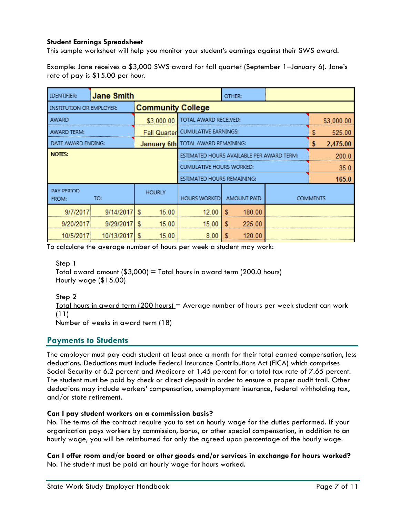#### **Student Earnings Spreadsheet**

This sample worksheet will help you monitor your student's earnings against their SWS award.

Example: Jane receives a \$3,000 SWS award for fall quarter (September 1–January 6). Jane's rate of pay is \$15.00 per hour.

| <b>IDENTIFIER:</b>                                   | <b>Jane Smith</b> |               |                                           |                                    |   | OTHER:      |                 |            |          |  |
|------------------------------------------------------|-------------------|---------------|-------------------------------------------|------------------------------------|---|-------------|-----------------|------------|----------|--|
| <b>Community College</b><br>INSTITUTION OR EMPLOYER: |                   |               |                                           |                                    |   |             |                 |            |          |  |
| AWARD                                                |                   | \$3,000.00    |                                           | TOTAL AWARD RECEIVED:              |   |             |                 | \$3,000.00 |          |  |
| AWARD TERM:                                          |                   |               |                                           | Fall Quarter CUMULATIVE EARNINGS:  |   |             |                 | S          | 525.00   |  |
| DATE AWARD ENDING:                                   |                   |               |                                           | January 6th TOTAL AWARD REMAINING: |   |             |                 | 5          | 2,475.00 |  |
| <b>NOTES:</b>                                        |                   |               | ESTIMATED HOURS AVAILABLE PER AWARD TERM: |                                    |   |             |                 | 200 O      |          |  |
|                                                      |                   |               | <b>CUMULATIVE HOURS WORKED:</b>           |                                    |   |             |                 | 35.0       |          |  |
|                                                      |                   |               |                                           | ESTIMATED HOURS REMAINING:         |   |             |                 |            | 165.0    |  |
| PAY PERIOD<br>TO:<br>FROM:                           |                   | <b>HOURLY</b> |                                           | <b>HOURS WORKED</b>                |   | AMOUNT PAID | <b>COMMENTS</b> |            |          |  |
| 9/7/2017                                             | 9/14/2017         |               | 15.00                                     | 12.00                              | S | 180.00      |                 |            |          |  |
| 9/20/2017                                            | 9/29/2017         | S             | 15.00                                     | 15.00                              | S | 225.00      |                 |            |          |  |
| 10/5/2017                                            | 10/13/201         |               | 15.00                                     | 8.00                               |   | 120.00      |                 |            |          |  |

To calculate the average number of hours per week a student may work:

Step 1

Total award amount  $($3,000] =$  Total hours in award term (200.0 hours) Hourly wage (\$15.00)

Step 2

Total hours in award term  $(200 \text{ hours})$  = Average number of hours per week student can work (11)

Number of weeks in award term (18)

## <span id="page-8-0"></span>**Payments to Students**

The employer must pay each student at least once a month for their total earned compensation, less deductions. Deductions must include Federal Insurance Contributions Act (FICA) which comprises Social Security at 6.2 percent and Medicare at 1.45 percent for a total tax rate of 7.65 percent. The student must be paid by check or direct deposit in order to ensure a proper audit trail. Other deductions may include workers' compensation, unemployment insurance, federal withholding tax, and/or state retirement.

#### **Can I pay student workers on a commission basis?**

No. The terms of the contract require you to set an hourly wage for the duties performed. If your organization pays workers by commission, bonus, or other special compensation, in addition to an hourly wage, you will be reimbursed for only the agreed upon percentage of the hourly wage.

**Can I offer room and/or board or other goods and/or services in exchange for hours worked?** No. The student must be paid an hourly wage for hours worked.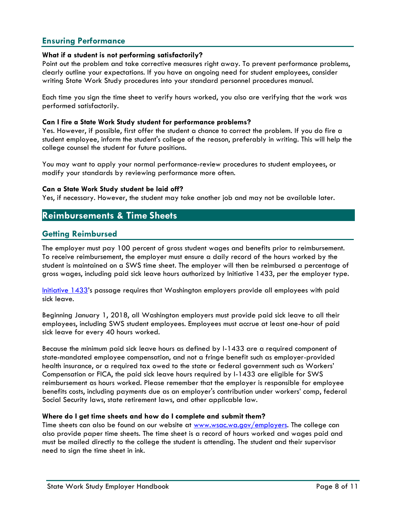## <span id="page-9-0"></span>**Ensuring Performance**

#### **What if a student is not performing satisfactorily?**

Point out the problem and take corrective measures right away. To prevent performance problems, clearly outline your expectations. If you have an ongoing need for student employees, consider writing State Work Study procedures into your standard personnel procedures manual.

Each time you sign the time sheet to verify hours worked, you also are verifying that the work was performed satisfactorily.

#### **Can I fire a State Work Study student for performance problems?**

Yes. However, if possible, first offer the student a chance to correct the problem. If you do fire a student employee, inform the student's college of the reason, preferably in writing. This will help the college counsel the student for future positions.

You may want to apply your normal performance-review procedures to student employees, or modify your standards by reviewing performance more often.

#### **Can a State Work Study student be laid off?**

Yes, if necessary. However, the student may take another job and may not be available later.

## <span id="page-9-1"></span>**Reimbursements & Time Sheets**

## <span id="page-9-2"></span>**Getting Reimbursed**

The employer must pay 100 percent of gross student wages and benefits prior to reimbursement. To receive reimbursement, the employer must ensure a daily record of the hours worked by the student is maintained on a SWS time sheet. The employer will then be reimbursed a percentage of gross wages, including paid sick leave hours authorized by Initiative 1433, per the employer type.

[Initiative 1433](https://sos.wa.gov/_assets/elections/initiatives/FinalText_954.pdf)'s passage requires that Washington employers provide all employees with paid sick leave.

Beginning January 1, 2018, all Washington employers must provide paid sick leave to all their employees, including SWS student employees. Employees must accrue at least one-hour of paid sick leave for every 40 hours worked.

Because the minimum paid sick leave hours as defined by I-1433 are a required component of state-mandated employee compensation, and not a fringe benefit such as employer-provided health insurance, or a required tax owed to the state or federal government such as Workers' Compensation or FICA, the paid sick leave hours required by I-1433 are eligible for SWS reimbursement as hours worked. Please remember that the employer is responsible for employee benefits costs, including payments due as an employer's contribution under workers' comp, federal Social Security laws, state retirement laws, and other applicable law.

#### **Where do I get time sheets and how do I complete and submit them?**

Time sheets can also be found on our website at [www.wsac.wa.gov/employers. T](file:///C:/Users/katiey/AppData/Local/Microsoft/Windows/INetCache/Content.Outlook/9RY25F1K/www.wsac.wa.gov/employers)he college can also provide paper time sheets. The time sheet is a record of hours worked and wages paid and must be mailed directly to the college the student is attending. The student and their supervisor need to sign the time sheet in ink.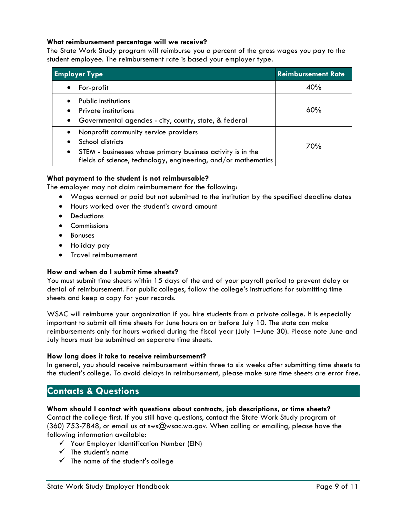#### **What reimbursement percentage will we receive?**

The State Work Study program will reimburse you a percent of the gross wages you pay to the student employee. The reimbursement rate is based your employer type.

| <b>Employer Type</b>                                                                                                                                                                                                 | <b>Reimbursement Rate</b> |  |  |  |
|----------------------------------------------------------------------------------------------------------------------------------------------------------------------------------------------------------------------|---------------------------|--|--|--|
| For-profit<br>$\bullet$                                                                                                                                                                                              | 40%                       |  |  |  |
| Public institutions<br>Private institutions<br>٠<br>Governmental agencies - city, county, state, & federal<br>$\bullet$                                                                                              | 60%                       |  |  |  |
| Nonprofit community service providers<br>$\bullet$<br>School districts<br>STEM - businesses whose primary business activity is in the<br>$\bullet$<br>fields of science, technology, engineering, and/or mathematics | 70%                       |  |  |  |

#### **What payment to the student is not reimbursable?**

The employer may not claim reimbursement for the following:

- Wages earned or paid but not submitted to the institution by the specified deadline dates
- Hours worked over the student's award amount
- Deductions
- **•** Commissions
- Bonuses
- Holiday pay
- **•** Travel reimbursement

#### **How and when do I submit time sheets?**

You must submit time sheets within 15 days of the end of your payroll period to prevent delay or denial of reimbursement. For public colleges, follow the college's instructions for submitting time sheets and keep a copy for your records.

WSAC will reimburse your organization if you hire students from a private college. It is especially important to submit all time sheets for June hours on or before July 10. The state can make reimbursements only for hours worked during the fiscal year (July 1–June 30). Please note June and July hours must be submitted on separate time sheets.

#### **How long does it take to receive reimbursement?**

In general, you should receive reimbursement within three to six weeks after submitting time sheets to the student's college. To avoid delays in reimbursement, please make sure time sheets are error free.

## <span id="page-10-0"></span>**Contacts & Questions**

#### **Whom should I contact with questions about contracts, job descriptions, or time sheets?**

Contact the college first. If you still have questions, contact the State Work Study program at (360) 753-7848, or email us at [sws@wsac.wa.gov. W](mailto:sws@wsac.wa.gov)hen calling or emailing, please have the following information available:

- $\checkmark$  Your Employer Identification Number (EIN)
- $\checkmark$  The student's name
- $\checkmark$  The name of the student's college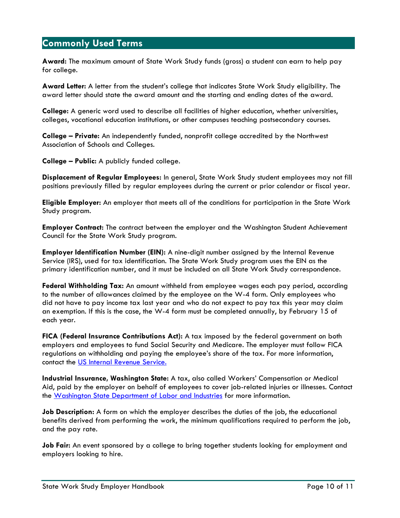## <span id="page-11-0"></span>**Commonly Used Terms**

**Award:** The maximum amount of State Work Study funds (gross) a student can earn to help pay for college.

**Award Letter:** A letter from the student's college that indicates State Work Study eligibility. The award letter should state the award amount and the starting and ending dates of the award.

**College:** A generic word used to describe all facilities of higher education, whether universities, colleges, vocational education institutions, or other campuses teaching postsecondary courses.

**College – Private:** An independently funded, nonprofit college accredited by the Northwest Association of Schools and Colleges.

**College – Public:** A publicly funded college.

**Displacement of Regular Employees:** In general, State Work Study student employees may not fill positions previously filled by regular employees during the current or prior calendar or fiscal year.

**Eligible Employer:** An employer that meets all of the conditions for participation in the State Work Study program.

**Employer Contract:** The contract between the employer and the Washington Student Achievement Council for the State Work Study program.

**Employer Identification Number (EIN):** A nine-digit number assigned by the Internal Revenue Service (IRS), used for tax identification. The State Work Study program uses the EIN as the primary identification number, and it must be included on all State Work Study correspondence.

**Federal Withholding Tax:** An amount withheld from employee wages each pay period, according to the number of allowances claimed by the employee on the W-4 form. Only employees who did not have to pay income tax last year and who do not expect to pay tax this year may claim an exemption. If this is the case, the W-4 form must be completed annually, by February 15 of each year.

**FICA (Federal Insurance Contributions Act):** A tax imposed by the federal government on both employers and employees to fund Social Security and Medicare. The employer must follow FICA regulations on withholding and paying the employee's share of the tax. For more information, contact the [US Internal Revenue Service.](https://www.irs.gov/)

**Industrial Insurance, Washington State:** A tax, also called Workers' Compensation or Medical Aid, paid by the employer on behalf of employees to cover job-related injuries or illnesses. Contact the [Washington State Department of Labor and Industries](http://www.lni.wa.gov/) for more information.

**Job Description:** A form on which the employer describes the duties of the job, the educational benefits derived from performing the work, the minimum qualifications required to perform the job, and the pay rate.

**Job Fair:** An event sponsored by a college to bring together students looking for employment and employers looking to hire.